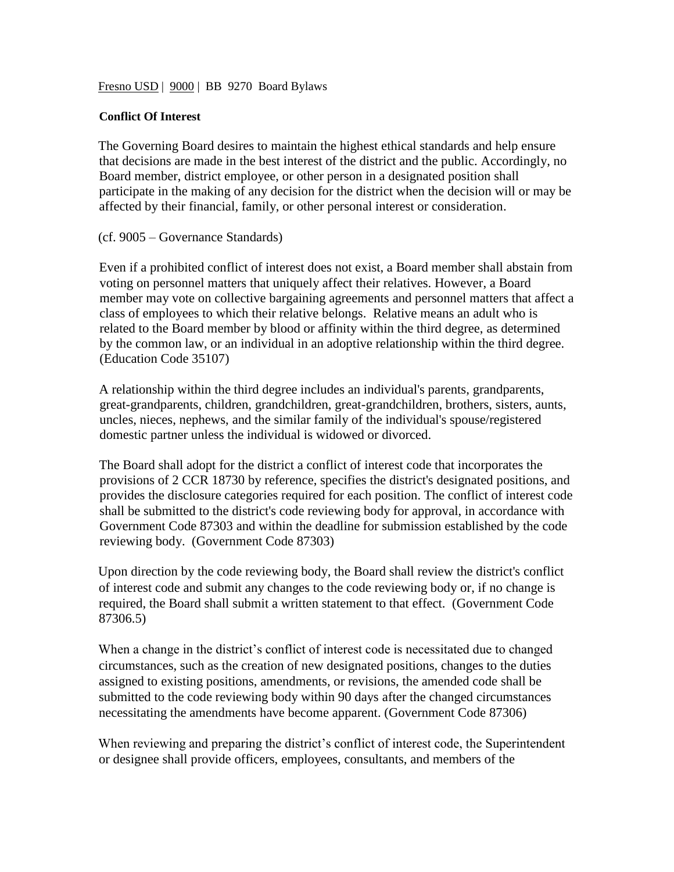Fresno USD | 9000 | BB 9270 Board Bylaws

## **Conflict Of Interest**

The Governing Board desires to maintain the highest ethical standards and help ensure that decisions are made in the best interest of the district and the public. Accordingly, no Board member, district employee, or other person in a designated position shall participate in the making of any decision for the district when the decision will or may be affected by their financial, family, or other personal interest or consideration.

(cf. 9005 – Governance Standards)

Even if a prohibited conflict of interest does not exist, a Board member shall abstain from voting on personnel matters that uniquely affect their relatives. However, a Board member may vote on collective bargaining agreements and personnel matters that affect a class of employees to which their relative belongs. Relative means an adult who is related to the Board member by blood or affinity within the third degree, as determined by the common law, or an individual in an adoptive relationship within the third degree. (Education Code 35107)

A relationship within the third degree includes an individual's parents, grandparents, great-grandparents, children, grandchildren, great-grandchildren, brothers, sisters, aunts, uncles, nieces, nephews, and the similar family of the individual's spouse/registered domestic partner unless the individual is widowed or divorced.

The Board shall adopt for the district a conflict of interest code that incorporates the provisions of 2 CCR 18730 by reference, specifies the district's designated positions, and provides the disclosure categories required for each position. The conflict of interest code shall be submitted to the district's code reviewing body for approval, in accordance with Government Code 87303 and within the deadline for submission established by the code reviewing body. (Government Code 87303)

Upon direction by the code reviewing body, the Board shall review the district's conflict of interest code and submit any changes to the code reviewing body or, if no change is required, the Board shall submit a written statement to that effect. (Government Code 87306.5)

When a change in the district's conflict of interest code is necessitated due to changed circumstances, such as the creation of new designated positions, changes to the duties assigned to existing positions, amendments, or revisions, the amended code shall be submitted to the code reviewing body within 90 days after the changed circumstances necessitating the amendments have become apparent. (Government Code 87306)

When reviewing and preparing the district's conflict of interest code, the Superintendent or designee shall provide officers, employees, consultants, and members of the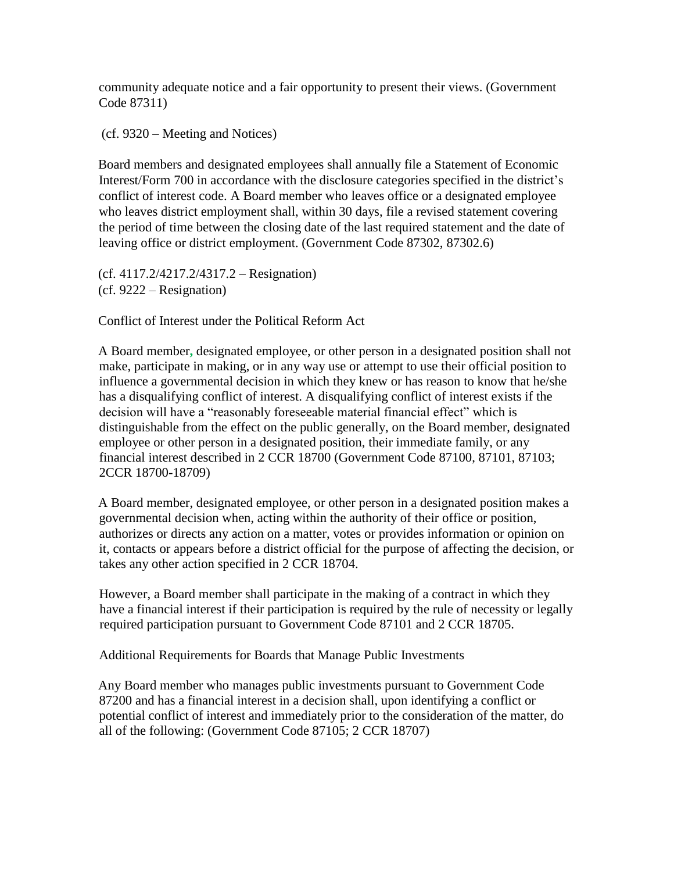community adequate notice and a fair opportunity to present their views. (Government Code 87311)

(cf. 9320 – Meeting and Notices)

Board members and designated employees shall annually file a Statement of Economic Interest/Form 700 in accordance with the disclosure categories specified in the district's conflict of interest code. A Board member who leaves office or a designated employee who leaves district employment shall, within 30 days, file a revised statement covering the period of time between the closing date of the last required statement and the date of leaving office or district employment. (Government Code 87302, 87302.6)

(cf. 4117.2/4217.2/4317.2 – Resignation) (cf. 9222 – Resignation)

Conflict of Interest under the Political Reform Act

A Board member**,** designated employee, or other person in a designated position shall not make, participate in making, or in any way use or attempt to use their official position to influence a governmental decision in which they knew or has reason to know that he/she has a disqualifying conflict of interest. A disqualifying conflict of interest exists if the decision will have a "reasonably foreseeable material financial effect" which is distinguishable from the effect on the public generally, on the Board member, designated employee or other person in a designated position, their immediate family, or any financial interest described in 2 CCR 18700 (Government Code 87100, 87101, 87103; 2CCR 18700-18709)

A Board member, designated employee, or other person in a designated position makes a governmental decision when, acting within the authority of their office or position, authorizes or directs any action on a matter, votes or provides information or opinion on it, contacts or appears before a district official for the purpose of affecting the decision, or takes any other action specified in 2 CCR 18704.

However, a Board member shall participate in the making of a contract in which they have a financial interest if their participation is required by the rule of necessity or legally required participation pursuant to Government Code 87101 and 2 CCR 18705.

Additional Requirements for Boards that Manage Public Investments

Any Board member who manages public investments pursuant to Government Code 87200 and has a financial interest in a decision shall, upon identifying a conflict or potential conflict of interest and immediately prior to the consideration of the matter, do all of the following: (Government Code 87105; 2 CCR 18707)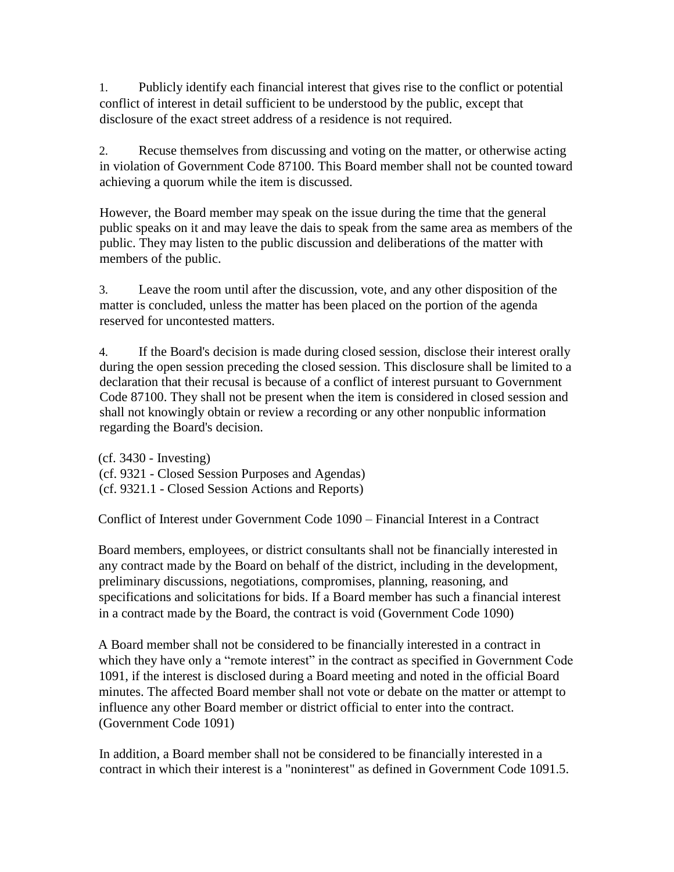1. Publicly identify each financial interest that gives rise to the conflict or potential conflict of interest in detail sufficient to be understood by the public, except that disclosure of the exact street address of a residence is not required.

2. Recuse themselves from discussing and voting on the matter, or otherwise acting in violation of Government Code 87100. This Board member shall not be counted toward achieving a quorum while the item is discussed.

However, the Board member may speak on the issue during the time that the general public speaks on it and may leave the dais to speak from the same area as members of the public. They may listen to the public discussion and deliberations of the matter with members of the public.

3. Leave the room until after the discussion, vote, and any other disposition of the matter is concluded, unless the matter has been placed on the portion of the agenda reserved for uncontested matters.

4. If the Board's decision is made during closed session, disclose their interest orally during the open session preceding the closed session. This disclosure shall be limited to a declaration that their recusal is because of a conflict of interest pursuant to Government Code 87100. They shall not be present when the item is considered in closed session and shall not knowingly obtain or review a recording or any other nonpublic information regarding the Board's decision.

(cf. 3430 - Investing) (cf. 9321 - Closed Session Purposes and Agendas) (cf. 9321.1 - Closed Session Actions and Reports)

Conflict of Interest under Government Code 1090 – Financial Interest in a Contract

Board members, employees, or district consultants shall not be financially interested in any contract made by the Board on behalf of the district, including in the development, preliminary discussions, negotiations, compromises, planning, reasoning, and specifications and solicitations for bids. If a Board member has such a financial interest in a contract made by the Board, the contract is void (Government Code 1090)

A Board member shall not be considered to be financially interested in a contract in which they have only a "remote interest" in the contract as specified in Government Code 1091, if the interest is disclosed during a Board meeting and noted in the official Board minutes. The affected Board member shall not vote or debate on the matter or attempt to influence any other Board member or district official to enter into the contract. (Government Code 1091)

In addition, a Board member shall not be considered to be financially interested in a contract in which their interest is a "noninterest" as defined in Government Code 1091.5.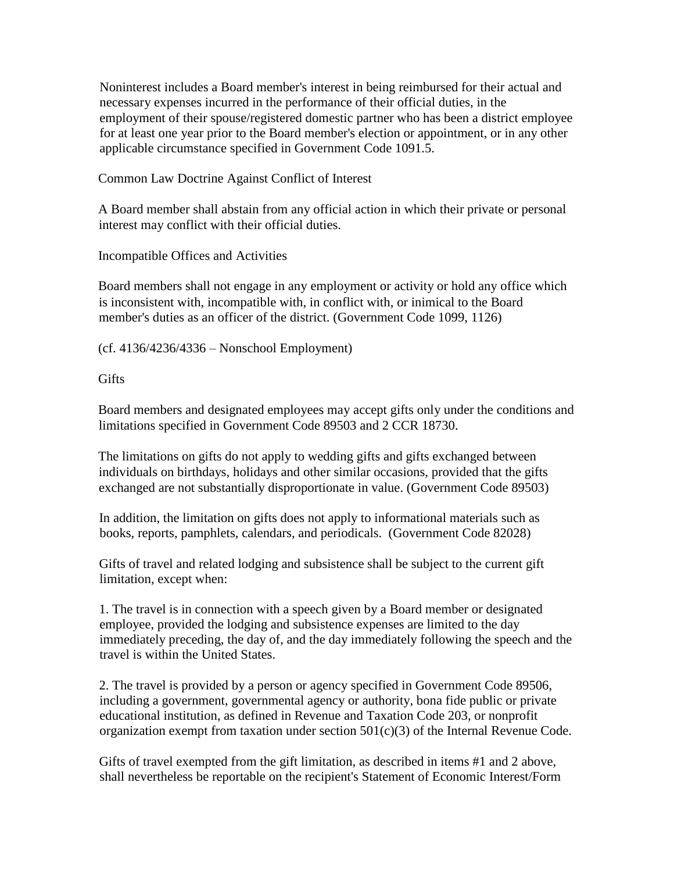Noninterest includes a Board member's interest in being reimbursed for their actual and necessary expenses incurred in the performance of their official duties, in the employment of their spouse/registered domestic partner who has been a district employee for at least one year prior to the Board member's election or appointment, or in any other applicable circumstance specified in Government Code 1091.5.

Common Law Doctrine Against Conflict of Interest

A Board member shall abstain from any official action in which their private or personal interest may conflict with their official duties.

Incompatible Offices and Activities

Board members shall not engage in any employment or activity or hold any office which is inconsistent with, incompatible with, in conflict with, or inimical to the Board member's duties as an officer of the district. (Government Code 1099, 1126)

(cf. 4136/4236/4336 – Nonschool Employment)

**Gifts** 

Board members and designated employees may accept gifts only under the conditions and limitations specified in Government Code 89503 and 2 CCR 18730.

The limitations on gifts do not apply to wedding gifts and gifts exchanged between individuals on birthdays, holidays and other similar occasions, provided that the gifts exchanged are not substantially disproportionate in value. (Government Code 89503)

In addition, the limitation on gifts does not apply to informational materials such as books, reports, pamphlets, calendars, and periodicals. (Government Code 82028)

Gifts of travel and related lodging and subsistence shall be subject to the current gift limitation, except when:

1. The travel is in connection with a speech given by a Board member or designated employee, provided the lodging and subsistence expenses are limited to the day immediately preceding, the day of, and the day immediately following the speech and the travel is within the United States.

2. The travel is provided by a person or agency specified in Government Code 89506, including a government, governmental agency or authority, bona fide public or private educational institution, as defined in Revenue and Taxation Code 203, or nonprofit organization exempt from taxation under section  $501(c)(3)$  of the Internal Revenue Code.

Gifts of travel exempted from the gift limitation, as described in items #1 and 2 above, shall nevertheless be reportable on the recipient's Statement of Economic Interest/Form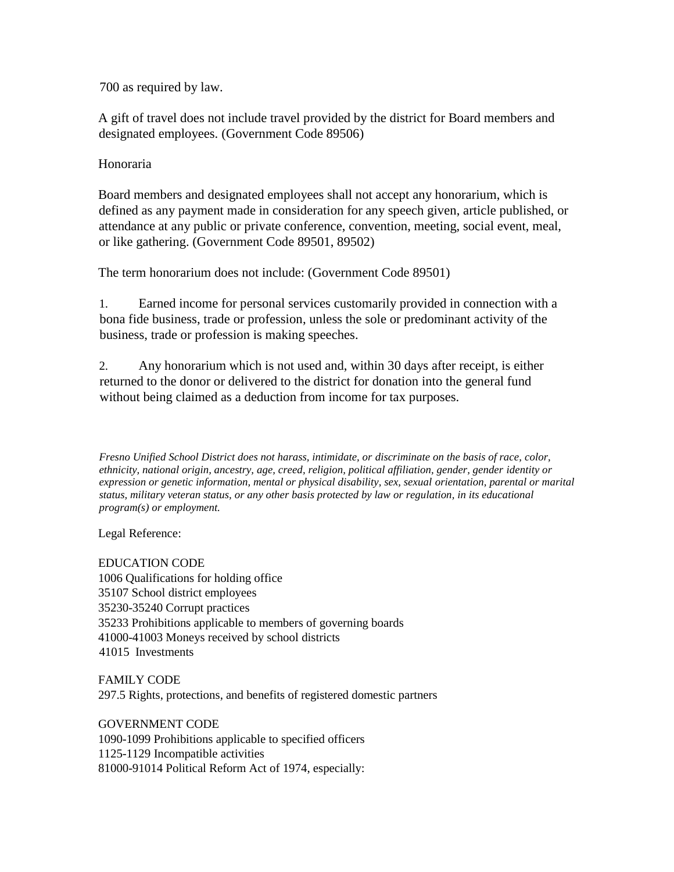700 as required by law.

A gift of travel does not include travel provided by the district for Board members and designated employees. (Government Code 89506)

## Honoraria

Board members and designated employees shall not accept any honorarium, which is defined as any payment made in consideration for any speech given, article published, or attendance at any public or private conference, convention, meeting, social event, meal, or like gathering. (Government Code 89501, 89502)

The term honorarium does not include: (Government Code 89501)

1. Earned income for personal services customarily provided in connection with a bona fide business, trade or profession, unless the sole or predominant activity of the business, trade or profession is making speeches.

2. Any honorarium which is not used and, within 30 days after receipt, is either returned to the donor or delivered to the district for donation into the general fund without being claimed as a deduction from income for tax purposes.

*Fresno Unified School District does not harass, intimidate, or discriminate on the basis of race, color, ethnicity, national origin, ancestry, age, creed, religion, political affiliation, gender, gender identity or expression or genetic information, mental or physical disability, sex, sexual orientation, parental or marital status, military veteran status, or any other basis protected by law or regulation, in its educational program(s) or employment.*

Legal Reference:

EDUCATION CODE 1006 Qualifications for holding office 35107 School district employees 35230-35240 Corrupt practices 35233 Prohibitions applicable to members of governing boards 41000-41003 Moneys received by school districts 41015 Investments

FAMILY CODE 297.5 Rights, protections, and benefits of registered domestic partners

GOVERNMENT CODE 1090-1099 Prohibitions applicable to specified officers 1125-1129 Incompatible activities 81000-91014 Political Reform Act of 1974, especially: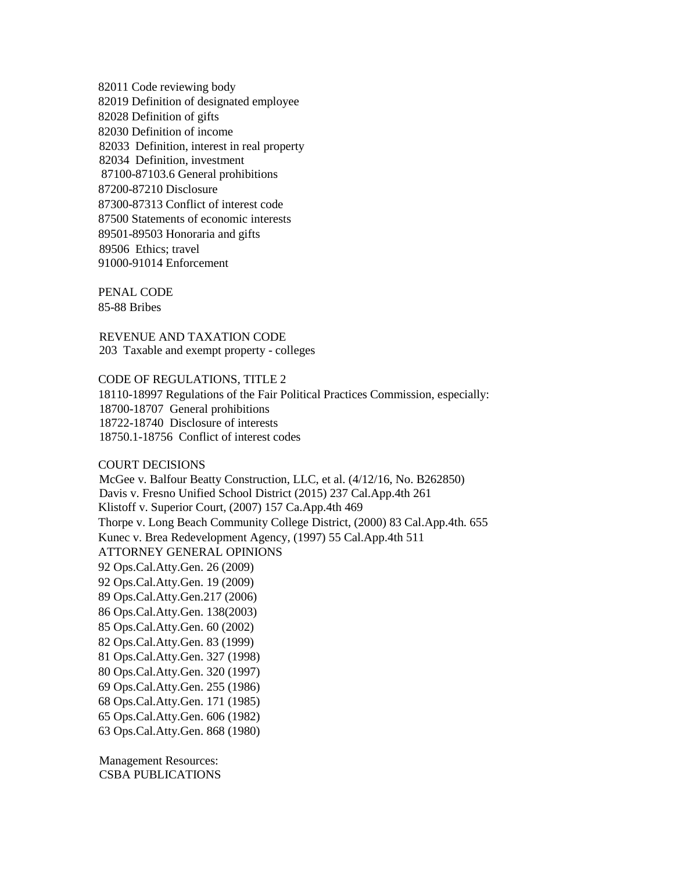82011 Code reviewing body 82019 Definition of designated employee 82028 Definition of gifts 82030 Definition of income 82033 Definition, interest in real property 82034 Definition, investment 87100-87103.6 General prohibitions 87200-87210 Disclosure 87300-87313 Conflict of interest code 87500 Statements of economic interests 89501-89503 Honoraria and gifts 89506 Ethics; travel 91000-91014 Enforcement

PENAL CODE 85-88 Bribes

REVENUE AND TAXATION CODE 203 Taxable and exempt property - colleges

CODE OF REGULATIONS, TITLE 2 18110-18997 Regulations of the Fair Political Practices Commission, especially: 18700-18707 General prohibitions 18722-18740 Disclosure of interests 18750.1-18756 Conflict of interest codes

## COURT DECISIONS

McGee v. Balfour Beatty Construction, LLC, et al. (4/12/16, No. B262850) Davis v. Fresno Unified School District (2015) 237 Cal.App.4th 261 Klistoff v. Superior Court, (2007) 157 Ca.App.4th 469 Thorpe v. Long Beach Community College District, (2000) 83 Cal.App.4th. 655 Kunec v. Brea Redevelopment Agency, (1997) 55 Cal.App.4th 511 ATTORNEY GENERAL OPINIONS 92 Ops.Cal.Atty.Gen. 26 (2009) 92 Ops.Cal.Atty.Gen. 19 (2009) 89 Ops.Cal.Atty.Gen.217 (2006) 86 Ops.Cal.Atty.Gen. 138(2003) 85 Ops.Cal.Atty.Gen. 60 (2002) 82 Ops.Cal.Atty.Gen. 83 (1999) 81 Ops.Cal.Atty.Gen. 327 (1998) 80 Ops.Cal.Atty.Gen. 320 (1997) 69 Ops.Cal.Atty.Gen. 255 (1986) 68 Ops.Cal.Atty.Gen. 171 (1985) 65 Ops.Cal.Atty.Gen. 606 (1982) 63 Ops.Cal.Atty.Gen. 868 (1980)

Management Resources: CSBA PUBLICATIONS